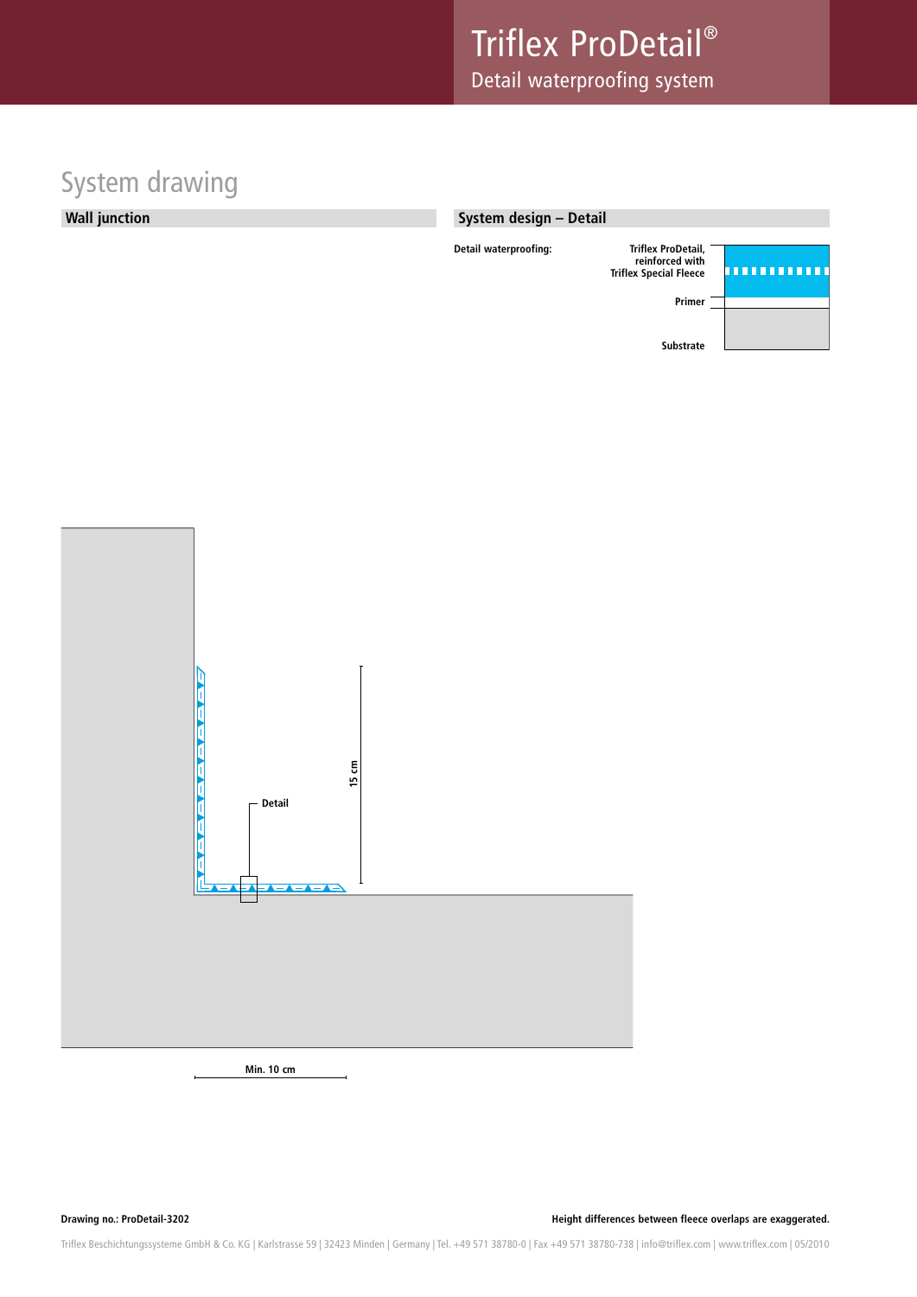# System drawing



#### **System design – Detail**



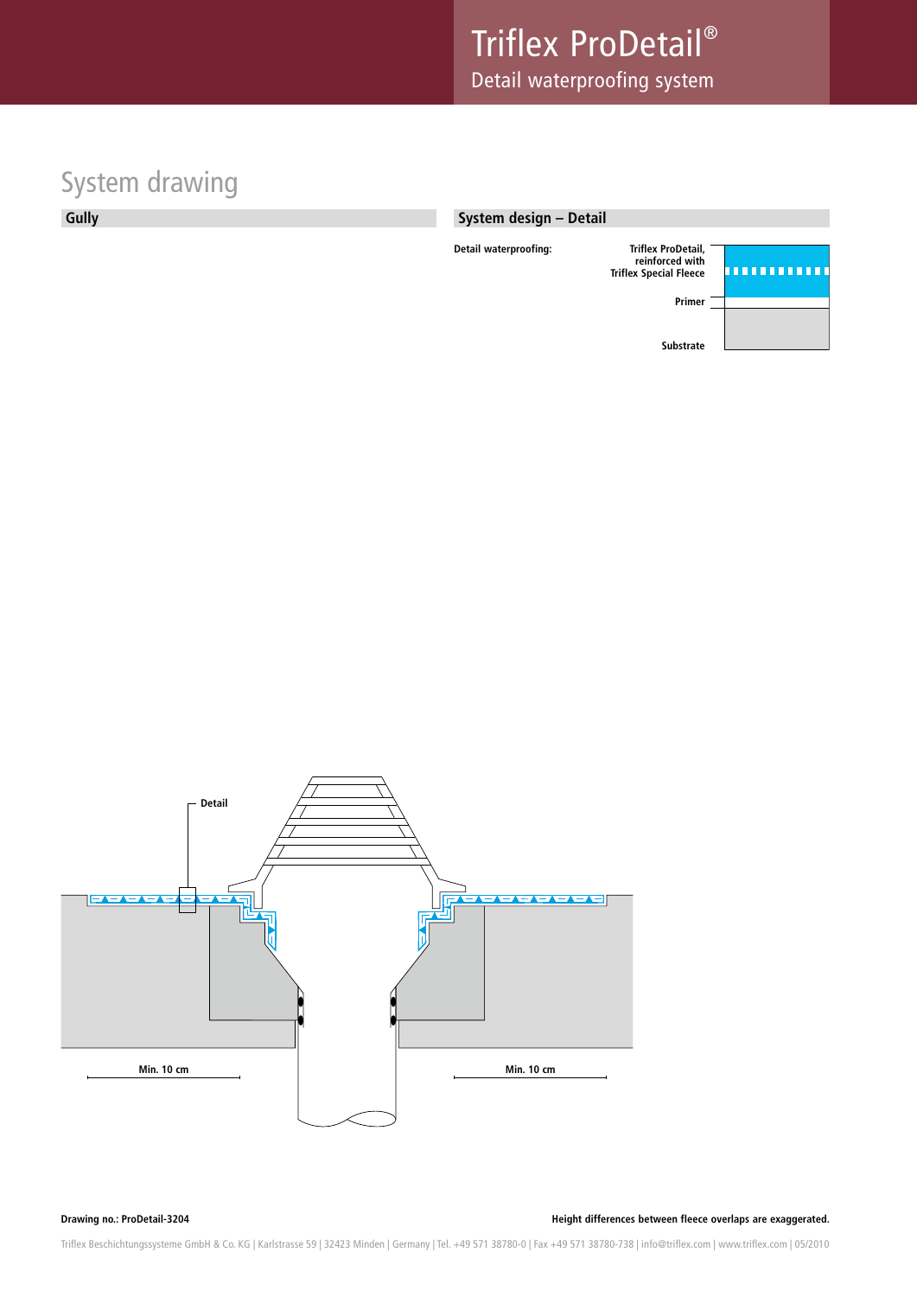# System drawing

**Gully**

#### **System design – Detail**





**Drawing no.: ProDetail-3204 Height differences between fleece overlaps are exaggerated.**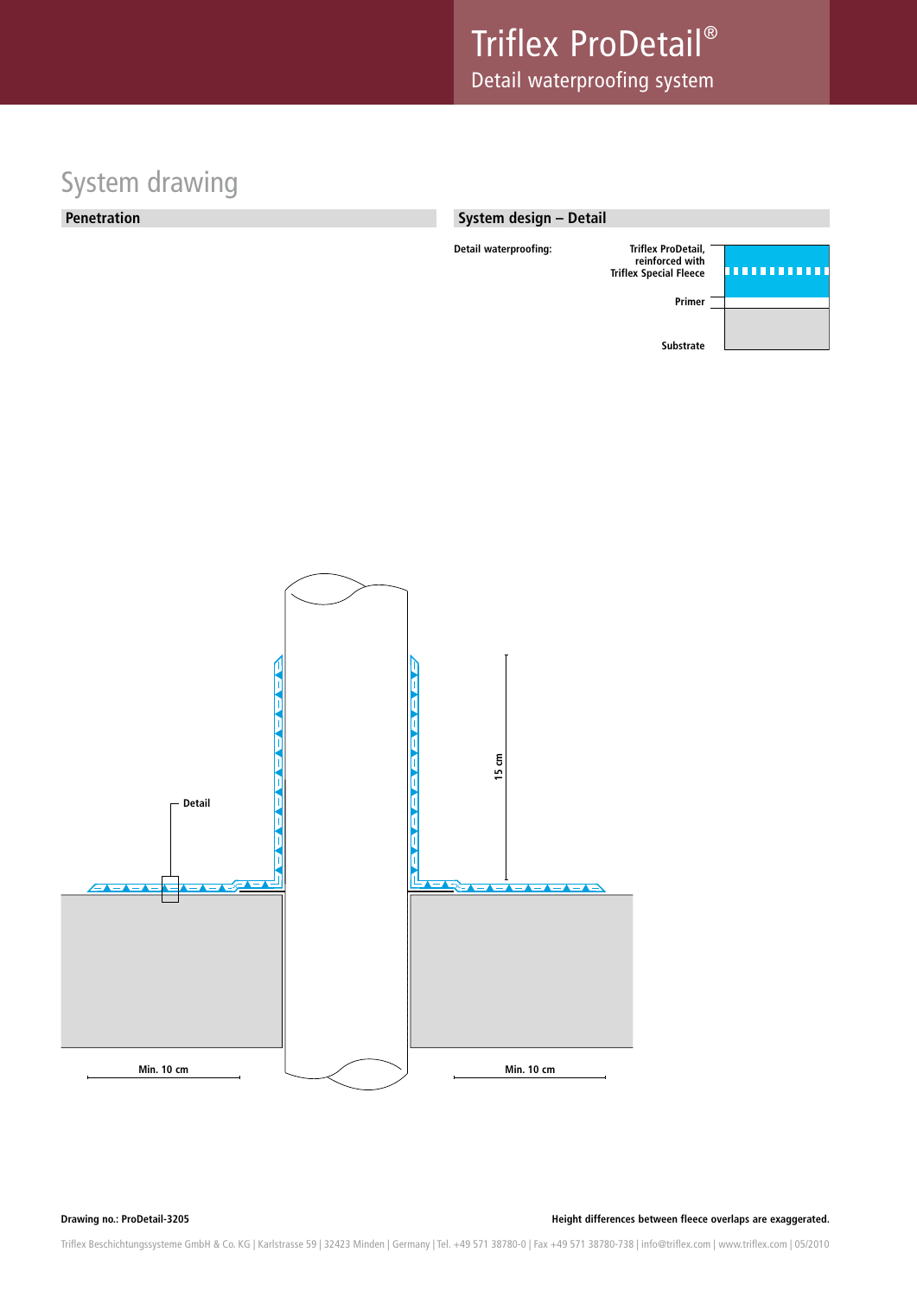### System drawing

#### **Penetration**

#### **System design – Detail**





**Drawing no.: ProDetail-3205 Height differences between fleece overlaps are exaggerated.**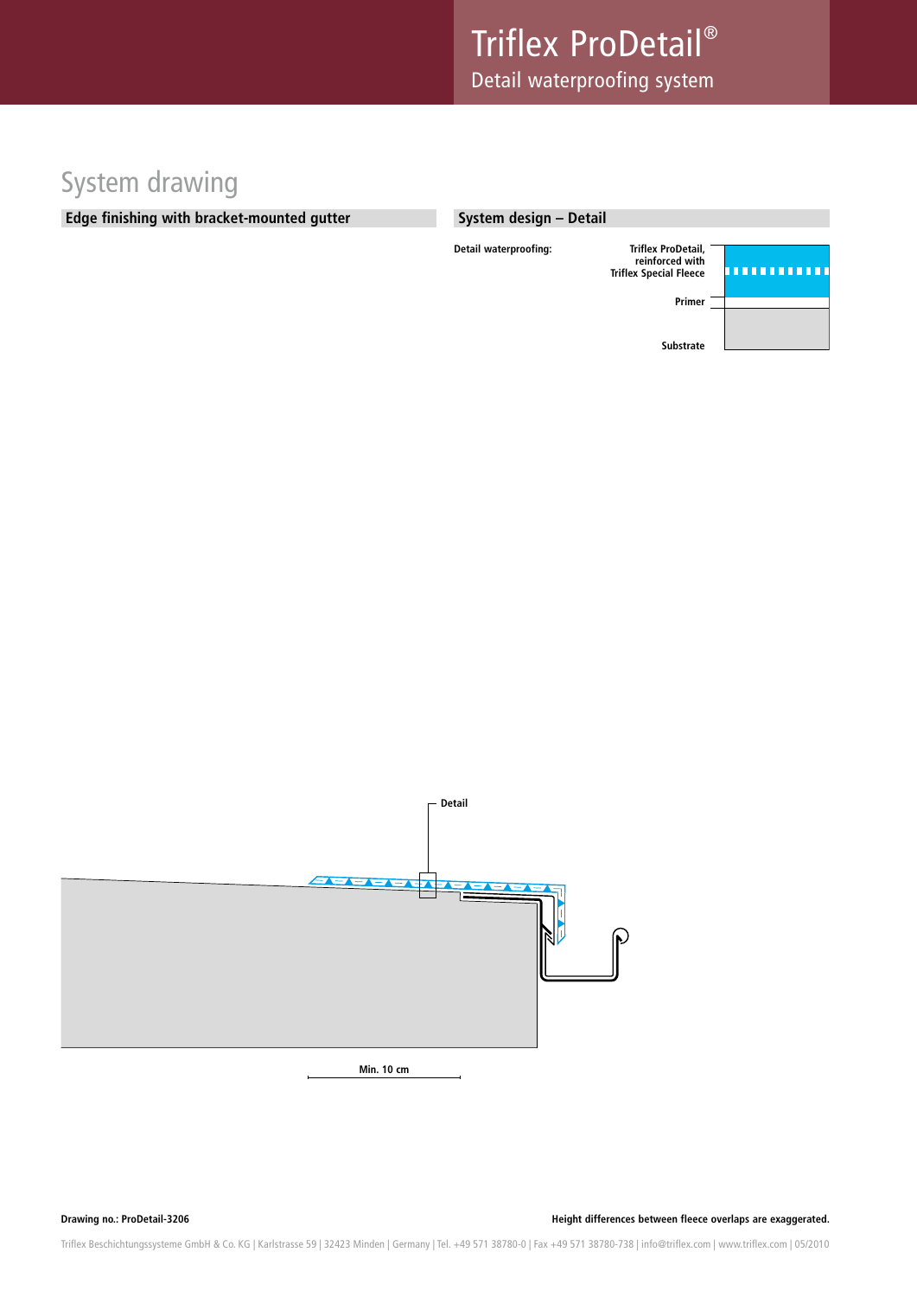### System drawing

#### **Edge finishing with bracket-mounted gutter**

#### **System design – Detail**





**Min. 10 cm**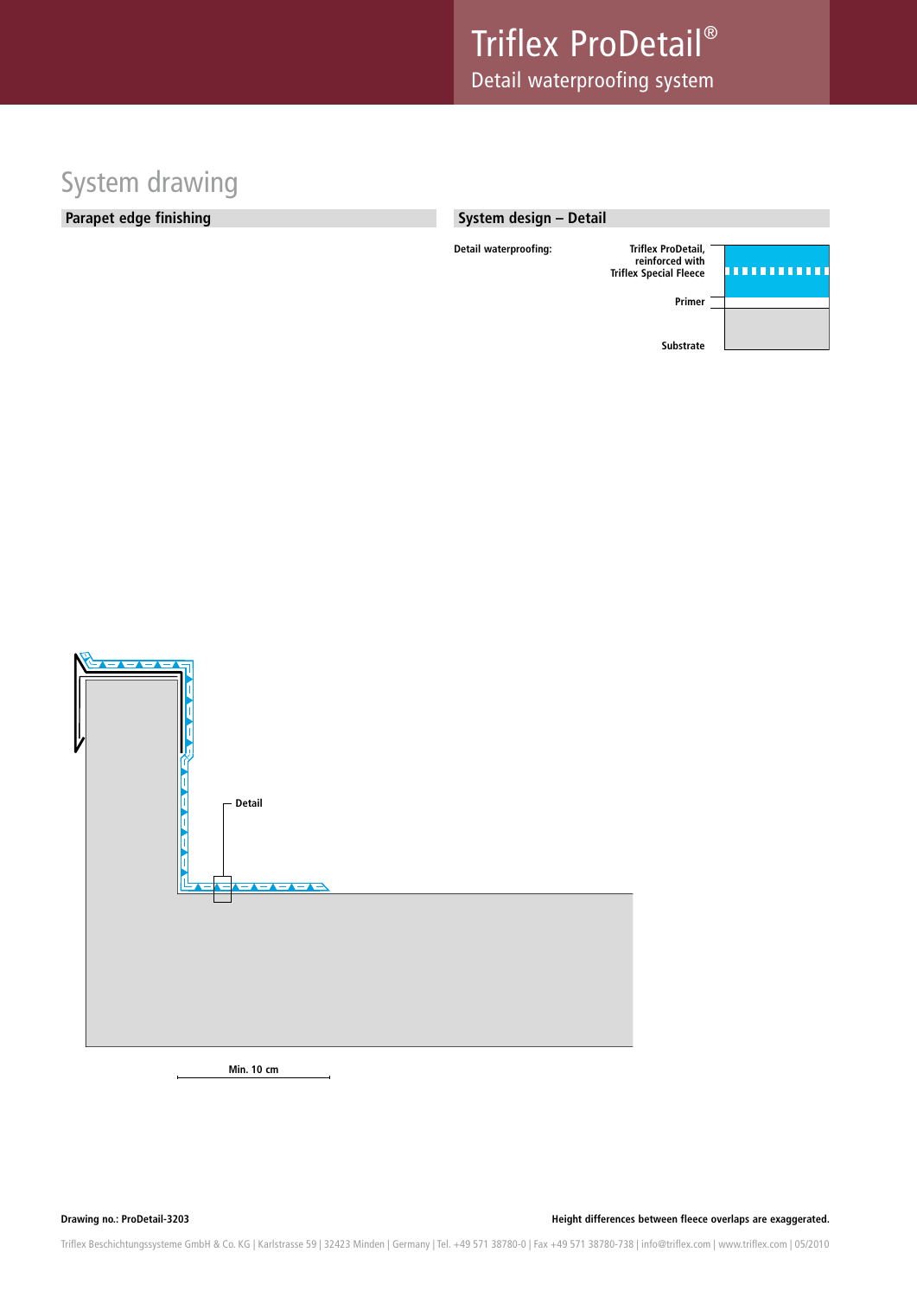### System drawing

#### **Parapet edge finishing**

#### **System design – Detail**





**Min. 10 cm**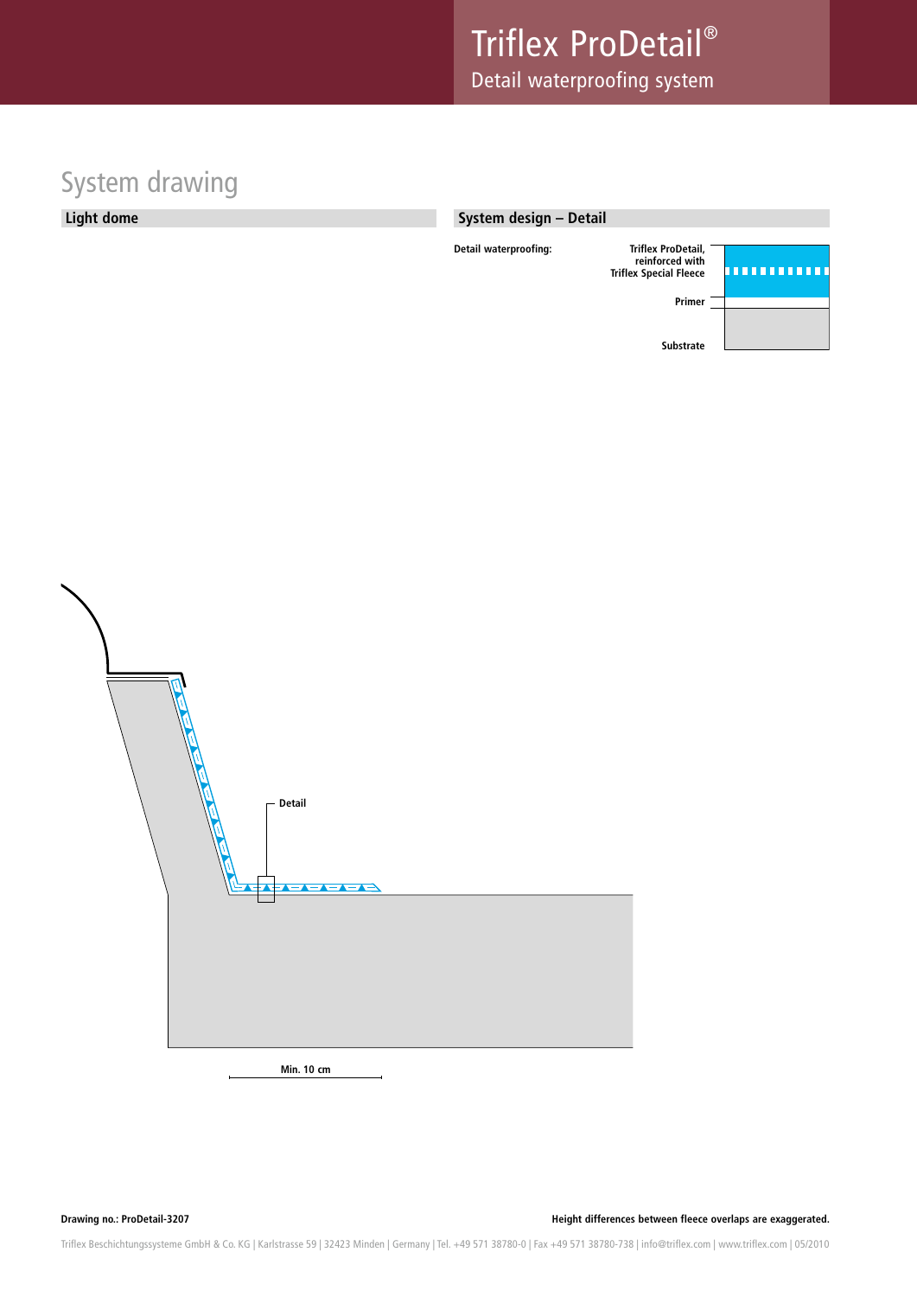# System drawing

#### **Light dome**

#### **System design – Detail**